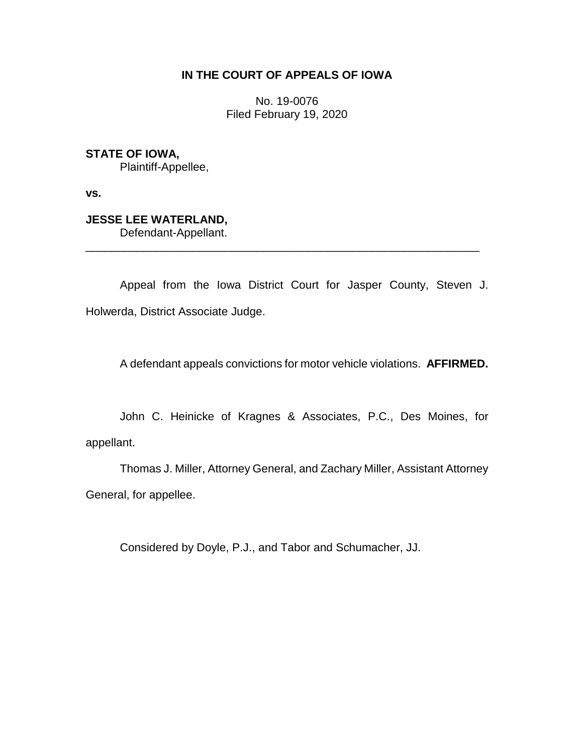## **IN THE COURT OF APPEALS OF IOWA**

No. 19-0076 Filed February 19, 2020

**STATE OF IOWA,**

Plaintiff-Appellee,

**vs.**

# **JESSE LEE WATERLAND,**

Defendant-Appellant.

Appeal from the Iowa District Court for Jasper County, Steven J. Holwerda, District Associate Judge.

\_\_\_\_\_\_\_\_\_\_\_\_\_\_\_\_\_\_\_\_\_\_\_\_\_\_\_\_\_\_\_\_\_\_\_\_\_\_\_\_\_\_\_\_\_\_\_\_\_\_\_\_\_\_\_\_\_\_\_\_\_\_

A defendant appeals convictions for motor vehicle violations. **AFFIRMED.**

John C. Heinicke of Kragnes & Associates, P.C., Des Moines, for appellant.

Thomas J. Miller, Attorney General, and Zachary Miller, Assistant Attorney General, for appellee.

Considered by Doyle, P.J., and Tabor and Schumacher, JJ.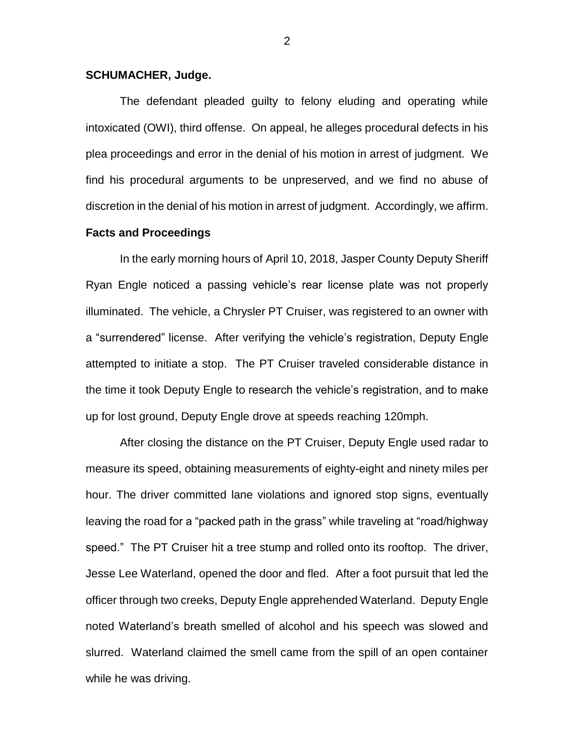#### **SCHUMACHER, Judge.**

The defendant pleaded guilty to felony eluding and operating while intoxicated (OWI), third offense. On appeal, he alleges procedural defects in his plea proceedings and error in the denial of his motion in arrest of judgment. We find his procedural arguments to be unpreserved, and we find no abuse of discretion in the denial of his motion in arrest of judgment. Accordingly, we affirm.

#### **Facts and Proceedings**

In the early morning hours of April 10, 2018, Jasper County Deputy Sheriff Ryan Engle noticed a passing vehicle's rear license plate was not properly illuminated. The vehicle, a Chrysler PT Cruiser, was registered to an owner with a "surrendered" license. After verifying the vehicle's registration, Deputy Engle attempted to initiate a stop. The PT Cruiser traveled considerable distance in the time it took Deputy Engle to research the vehicle's registration, and to make up for lost ground, Deputy Engle drove at speeds reaching 120mph.

After closing the distance on the PT Cruiser, Deputy Engle used radar to measure its speed, obtaining measurements of eighty-eight and ninety miles per hour. The driver committed lane violations and ignored stop signs, eventually leaving the road for a "packed path in the grass" while traveling at "road/highway speed." The PT Cruiser hit a tree stump and rolled onto its rooftop. The driver, Jesse Lee Waterland, opened the door and fled. After a foot pursuit that led the officer through two creeks, Deputy Engle apprehended Waterland. Deputy Engle noted Waterland's breath smelled of alcohol and his speech was slowed and slurred. Waterland claimed the smell came from the spill of an open container while he was driving.

2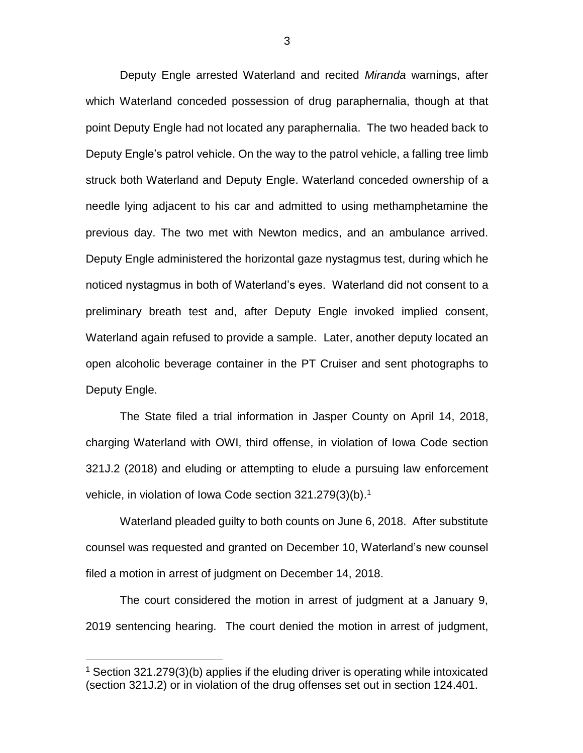Deputy Engle arrested Waterland and recited *Miranda* warnings, after which Waterland conceded possession of drug paraphernalia, though at that point Deputy Engle had not located any paraphernalia. The two headed back to Deputy Engle's patrol vehicle. On the way to the patrol vehicle, a falling tree limb struck both Waterland and Deputy Engle. Waterland conceded ownership of a needle lying adjacent to his car and admitted to using methamphetamine the previous day. The two met with Newton medics, and an ambulance arrived. Deputy Engle administered the horizontal gaze nystagmus test, during which he noticed nystagmus in both of Waterland's eyes. Waterland did not consent to a preliminary breath test and, after Deputy Engle invoked implied consent, Waterland again refused to provide a sample. Later, another deputy located an open alcoholic beverage container in the PT Cruiser and sent photographs to Deputy Engle.

The State filed a trial information in Jasper County on April 14, 2018, charging Waterland with OWI, third offense, in violation of Iowa Code section 321J.2 (2018) and eluding or attempting to elude a pursuing law enforcement vehicle, in violation of Iowa Code section 321.279(3)(b).<sup>1</sup>

Waterland pleaded guilty to both counts on June 6, 2018. After substitute counsel was requested and granted on December 10, Waterland's new counsel filed a motion in arrest of judgment on December 14, 2018.

The court considered the motion in arrest of judgment at a January 9, 2019 sentencing hearing. The court denied the motion in arrest of judgment,

 $\overline{a}$ 

<sup>&</sup>lt;sup>1</sup> Section 321.279(3)(b) applies if the eluding driver is operating while intoxicated (section 321J.2) or in violation of the drug offenses set out in section 124.401.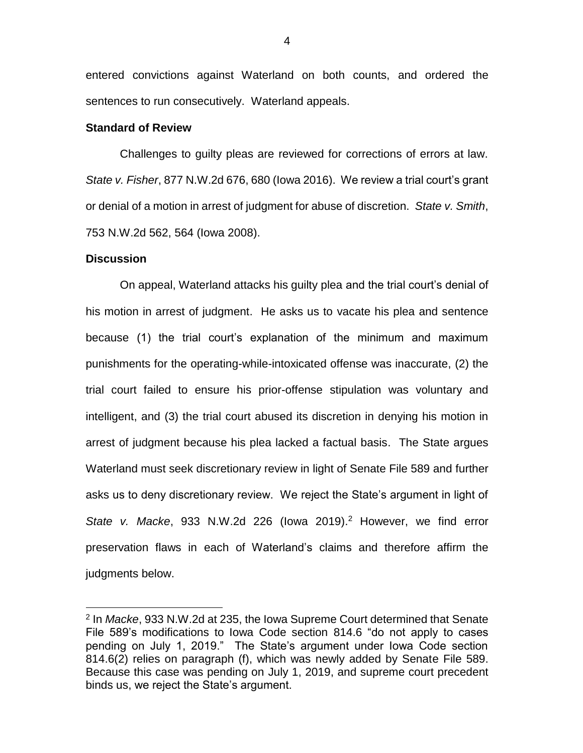entered convictions against Waterland on both counts, and ordered the sentences to run consecutively. Waterland appeals.

#### **Standard of Review**

Challenges to guilty pleas are reviewed for corrections of errors at law. *State v. Fisher*, 877 N.W.2d 676, 680 (Iowa 2016). We review a trial court's grant or denial of a motion in arrest of judgment for abuse of discretion. *State v. Smith*, 753 N.W.2d 562, 564 (Iowa 2008).

#### **Discussion**

 $\overline{a}$ 

On appeal, Waterland attacks his guilty plea and the trial court's denial of his motion in arrest of judgment. He asks us to vacate his plea and sentence because (1) the trial court's explanation of the minimum and maximum punishments for the operating-while-intoxicated offense was inaccurate, (2) the trial court failed to ensure his prior-offense stipulation was voluntary and intelligent, and (3) the trial court abused its discretion in denying his motion in arrest of judgment because his plea lacked a factual basis. The State argues Waterland must seek discretionary review in light of Senate File 589 and further asks us to deny discretionary review. We reject the State's argument in light of *State v. Macke*, 933 N.W.2d 226 (Iowa 2019). <sup>2</sup> However, we find error preservation flaws in each of Waterland's claims and therefore affirm the judgments below.

<sup>2</sup> In *Macke*, 933 N.W.2d at 235, the Iowa Supreme Court determined that Senate File 589's modifications to Iowa Code section 814.6 "do not apply to cases pending on July 1, 2019." The State's argument under Iowa Code section 814.6(2) relies on paragraph (f), which was newly added by Senate File 589. Because this case was pending on July 1, 2019, and supreme court precedent binds us, we reject the State's argument.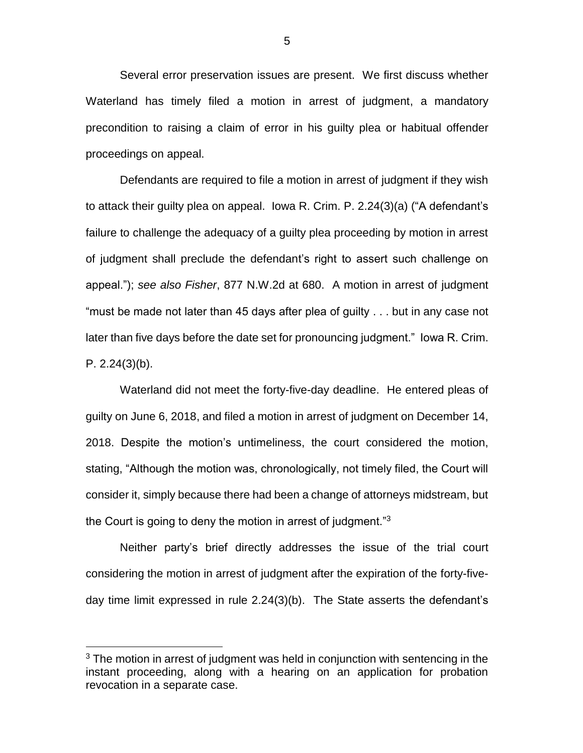Several error preservation issues are present. We first discuss whether Waterland has timely filed a motion in arrest of judgment, a mandatory precondition to raising a claim of error in his guilty plea or habitual offender proceedings on appeal.

Defendants are required to file a motion in arrest of judgment if they wish to attack their guilty plea on appeal. Iowa R. Crim. P. 2.24(3)(a) ("A defendant's failure to challenge the adequacy of a guilty plea proceeding by motion in arrest of judgment shall preclude the defendant's right to assert such challenge on appeal."); *see also Fisher*, 877 N.W.2d at 680. A motion in arrest of judgment "must be made not later than 45 days after plea of guilty . . . but in any case not later than five days before the date set for pronouncing judgment." Iowa R. Crim. P. 2.24(3)(b).

Waterland did not meet the forty-five-day deadline. He entered pleas of guilty on June 6, 2018, and filed a motion in arrest of judgment on December 14, 2018. Despite the motion's untimeliness, the court considered the motion, stating, "Although the motion was, chronologically, not timely filed, the Court will consider it, simply because there had been a change of attorneys midstream, but the Court is going to deny the motion in arrest of judgment."<sup>3</sup>

Neither party's brief directly addresses the issue of the trial court considering the motion in arrest of judgment after the expiration of the forty-fiveday time limit expressed in rule 2.24(3)(b). The State asserts the defendant's

 $\overline{a}$ 

 $3$  The motion in arrest of judgment was held in conjunction with sentencing in the instant proceeding, along with a hearing on an application for probation revocation in a separate case.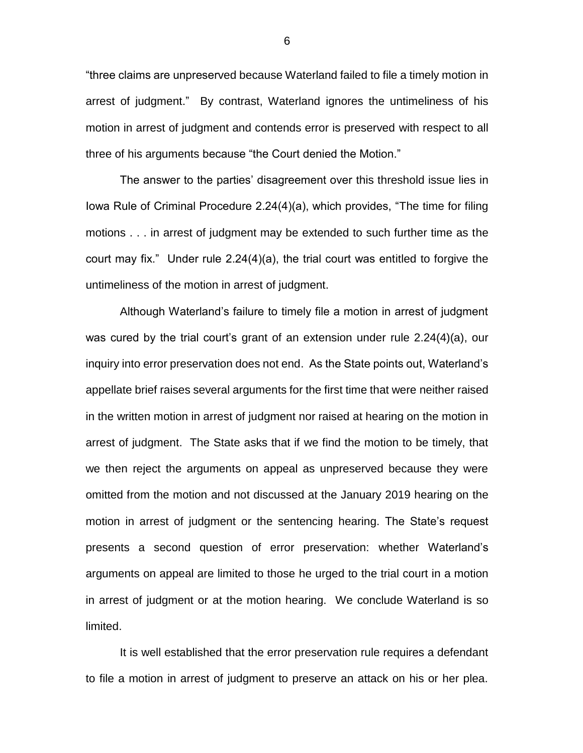"three claims are unpreserved because Waterland failed to file a timely motion in arrest of judgment." By contrast, Waterland ignores the untimeliness of his motion in arrest of judgment and contends error is preserved with respect to all three of his arguments because "the Court denied the Motion."

The answer to the parties' disagreement over this threshold issue lies in Iowa Rule of Criminal Procedure 2.24(4)(a), which provides, "The time for filing motions . . . in arrest of judgment may be extended to such further time as the court may fix." Under rule 2.24(4)(a), the trial court was entitled to forgive the untimeliness of the motion in arrest of judgment.

Although Waterland's failure to timely file a motion in arrest of judgment was cured by the trial court's grant of an extension under rule 2.24(4)(a), our inquiry into error preservation does not end. As the State points out, Waterland's appellate brief raises several arguments for the first time that were neither raised in the written motion in arrest of judgment nor raised at hearing on the motion in arrest of judgment. The State asks that if we find the motion to be timely, that we then reject the arguments on appeal as unpreserved because they were omitted from the motion and not discussed at the January 2019 hearing on the motion in arrest of judgment or the sentencing hearing. The State's request presents a second question of error preservation: whether Waterland's arguments on appeal are limited to those he urged to the trial court in a motion in arrest of judgment or at the motion hearing. We conclude Waterland is so limited.

It is well established that the error preservation rule requires a defendant to file a motion in arrest of judgment to preserve an attack on his or her plea.

6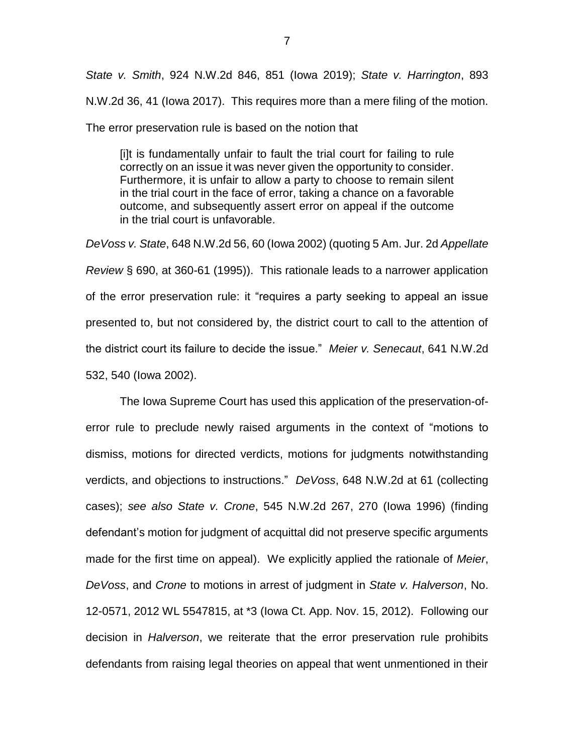*State v. Smith*, 924 N.W.2d 846, 851 (Iowa 2019); *State v. Harrington*, 893 N.W.2d 36, 41 (Iowa 2017). This requires more than a mere filing of the motion. The error preservation rule is based on the notion that

[i]t is fundamentally unfair to fault the trial court for failing to rule correctly on an issue it was never given the opportunity to consider. Furthermore, it is unfair to allow a party to choose to remain silent in the trial court in the face of error, taking a chance on a favorable outcome, and subsequently assert error on appeal if the outcome in the trial court is unfavorable.

*DeVoss v. State*, 648 N.W.2d 56, 60 (Iowa 2002) (quoting 5 Am. Jur. 2d *Appellate Review* § 690, at 360-61 (1995)). This rationale leads to a narrower application of the error preservation rule: it "requires a party seeking to appeal an issue presented to, but not considered by, the district court to call to the attention of the district court its failure to decide the issue." *Meier v. Senecaut*, 641 N.W.2d 532, 540 (Iowa 2002).

The Iowa Supreme Court has used this application of the preservation-oferror rule to preclude newly raised arguments in the context of "motions to dismiss, motions for directed verdicts, motions for judgments notwithstanding verdicts, and objections to instructions." *DeVoss*, 648 N.W.2d at 61 (collecting cases); *see also State v. Crone*, 545 N.W.2d 267, 270 (Iowa 1996) (finding defendant's motion for judgment of acquittal did not preserve specific arguments made for the first time on appeal). We explicitly applied the rationale of *Meier*, *DeVoss*, and *Crone* to motions in arrest of judgment in *State v. Halverson*, No. 12-0571, 2012 WL 5547815, at \*3 (Iowa Ct. App. Nov. 15, 2012). Following our decision in *Halverson*, we reiterate that the error preservation rule prohibits defendants from raising legal theories on appeal that went unmentioned in their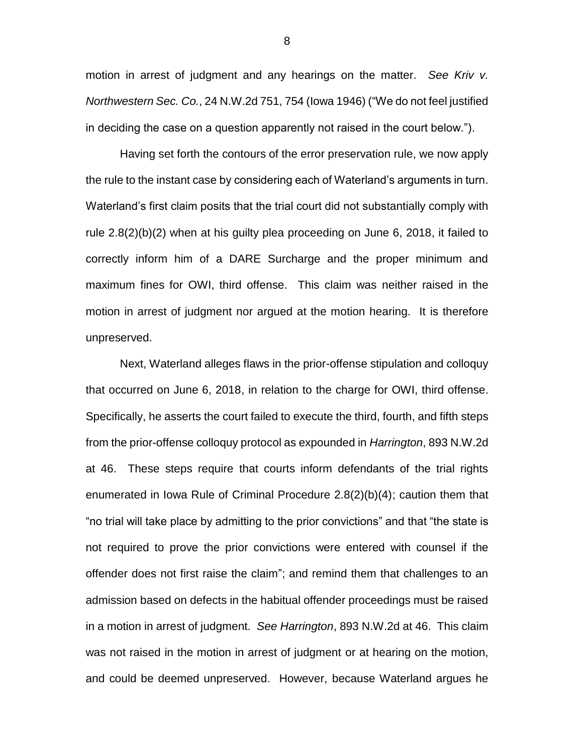motion in arrest of judgment and any hearings on the matter. *See Kriv v. Northwestern Sec. Co.*, 24 N.W.2d 751, 754 (Iowa 1946) ("We do not feel justified in deciding the case on a question apparently not raised in the court below.").

Having set forth the contours of the error preservation rule, we now apply the rule to the instant case by considering each of Waterland's arguments in turn. Waterland's first claim posits that the trial court did not substantially comply with rule 2.8(2)(b)(2) when at his guilty plea proceeding on June 6, 2018, it failed to correctly inform him of a DARE Surcharge and the proper minimum and maximum fines for OWI, third offense. This claim was neither raised in the motion in arrest of judgment nor argued at the motion hearing. It is therefore unpreserved.

Next, Waterland alleges flaws in the prior-offense stipulation and colloquy that occurred on June 6, 2018, in relation to the charge for OWI, third offense. Specifically, he asserts the court failed to execute the third, fourth, and fifth steps from the prior-offense colloquy protocol as expounded in *Harrington*, 893 N.W.2d at 46. These steps require that courts inform defendants of the trial rights enumerated in Iowa Rule of Criminal Procedure 2.8(2)(b)(4); caution them that "no trial will take place by admitting to the prior convictions" and that "the state is not required to prove the prior convictions were entered with counsel if the offender does not first raise the claim"; and remind them that challenges to an admission based on defects in the habitual offender proceedings must be raised in a motion in arrest of judgment. *See Harrington*, 893 N.W.2d at 46. This claim was not raised in the motion in arrest of judgment or at hearing on the motion, and could be deemed unpreserved. However, because Waterland argues he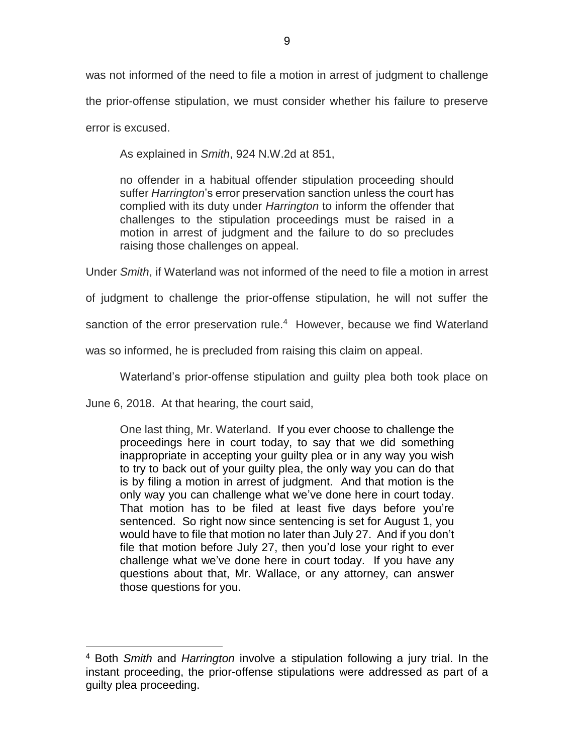was not informed of the need to file a motion in arrest of judgment to challenge the prior-offense stipulation, we must consider whether his failure to preserve error is excused.

As explained in *Smith*, 924 N.W.2d at 851,

no offender in a habitual offender stipulation proceeding should suffer *Harrington*'s error preservation sanction unless the court has complied with its duty under *Harrington* to inform the offender that challenges to the stipulation proceedings must be raised in a motion in arrest of judgment and the failure to do so precludes raising those challenges on appeal.

Under *Smith*, if Waterland was not informed of the need to file a motion in arrest

of judgment to challenge the prior-offense stipulation, he will not suffer the

sanction of the error preservation rule.<sup>4</sup> However, because we find Waterland

was so informed, he is precluded from raising this claim on appeal.

Waterland's prior-offense stipulation and guilty plea both took place on

June 6, 2018. At that hearing, the court said,

 $\overline{a}$ 

One last thing, Mr. Waterland. If you ever choose to challenge the proceedings here in court today, to say that we did something inappropriate in accepting your guilty plea or in any way you wish to try to back out of your guilty plea, the only way you can do that is by filing a motion in arrest of judgment. And that motion is the only way you can challenge what we've done here in court today. That motion has to be filed at least five days before you're sentenced. So right now since sentencing is set for August 1, you would have to file that motion no later than July 27. And if you don't file that motion before July 27, then you'd lose your right to ever challenge what we've done here in court today. If you have any questions about that, Mr. Wallace, or any attorney, can answer those questions for you.

<sup>4</sup> Both *Smith* and *Harrington* involve a stipulation following a jury trial. In the instant proceeding, the prior-offense stipulations were addressed as part of a guilty plea proceeding.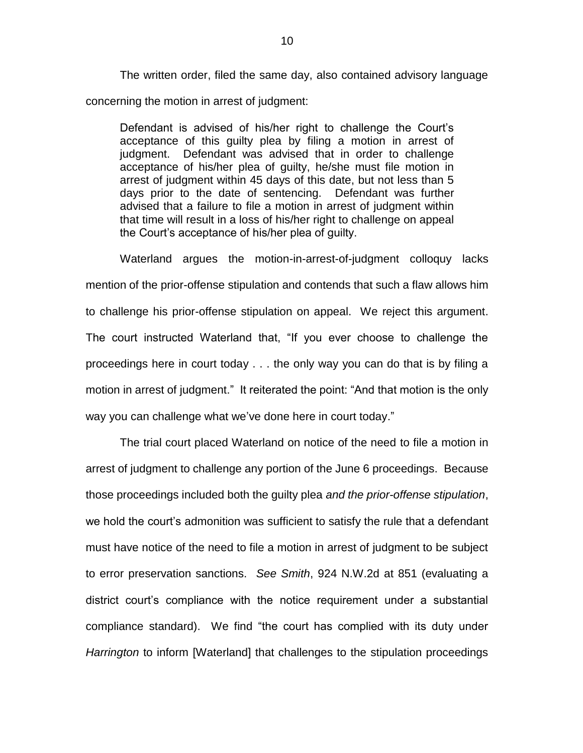The written order, filed the same day, also contained advisory language concerning the motion in arrest of judgment:

Defendant is advised of his/her right to challenge the Court's acceptance of this guilty plea by filing a motion in arrest of judgment. Defendant was advised that in order to challenge acceptance of his/her plea of guilty, he/she must file motion in arrest of judgment within 45 days of this date, but not less than 5 days prior to the date of sentencing. Defendant was further advised that a failure to file a motion in arrest of judgment within that time will result in a loss of his/her right to challenge on appeal the Court's acceptance of his/her plea of guilty.

Waterland argues the motion-in-arrest-of-judgment colloquy lacks mention of the prior-offense stipulation and contends that such a flaw allows him to challenge his prior-offense stipulation on appeal. We reject this argument. The court instructed Waterland that, "If you ever choose to challenge the proceedings here in court today . . . the only way you can do that is by filing a motion in arrest of judgment." It reiterated the point: "And that motion is the only way you can challenge what we've done here in court today."

The trial court placed Waterland on notice of the need to file a motion in arrest of judgment to challenge any portion of the June 6 proceedings. Because those proceedings included both the guilty plea *and the prior-offense stipulation*, we hold the court's admonition was sufficient to satisfy the rule that a defendant must have notice of the need to file a motion in arrest of judgment to be subject to error preservation sanctions. *See Smith*, 924 N.W.2d at 851 (evaluating a district court's compliance with the notice requirement under a substantial compliance standard). We find "the court has complied with its duty under *Harrington* to inform [Waterland] that challenges to the stipulation proceedings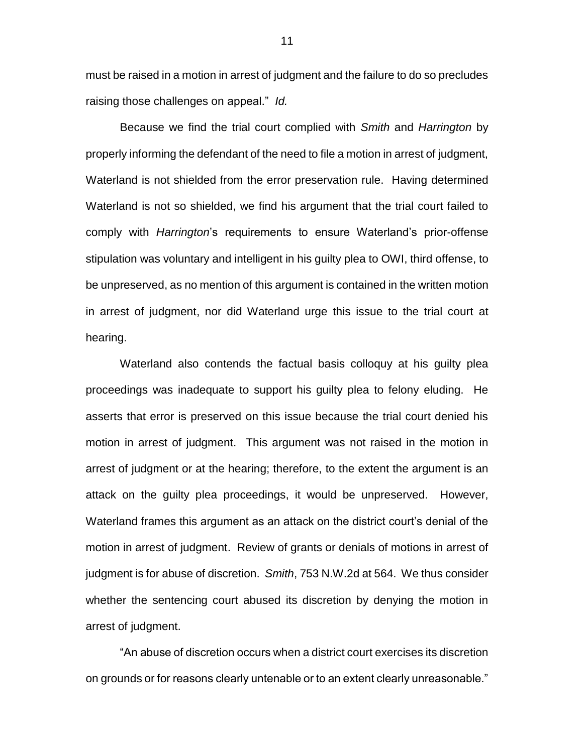must be raised in a motion in arrest of judgment and the failure to do so precludes raising those challenges on appeal." *Id.*

Because we find the trial court complied with *Smith* and *Harrington* by properly informing the defendant of the need to file a motion in arrest of judgment, Waterland is not shielded from the error preservation rule. Having determined Waterland is not so shielded, we find his argument that the trial court failed to comply with *Harrington*'s requirements to ensure Waterland's prior-offense stipulation was voluntary and intelligent in his guilty plea to OWI, third offense, to be unpreserved, as no mention of this argument is contained in the written motion in arrest of judgment, nor did Waterland urge this issue to the trial court at hearing.

Waterland also contends the factual basis colloquy at his guilty plea proceedings was inadequate to support his guilty plea to felony eluding. He asserts that error is preserved on this issue because the trial court denied his motion in arrest of judgment. This argument was not raised in the motion in arrest of judgment or at the hearing; therefore, to the extent the argument is an attack on the guilty plea proceedings, it would be unpreserved. However, Waterland frames this argument as an attack on the district court's denial of the motion in arrest of judgment. Review of grants or denials of motions in arrest of judgment is for abuse of discretion. *Smith*, 753 N.W.2d at 564. We thus consider whether the sentencing court abused its discretion by denying the motion in arrest of judgment.

"An abuse of discretion occurs when a district court exercises its discretion on grounds or for reasons clearly untenable or to an extent clearly unreasonable."

11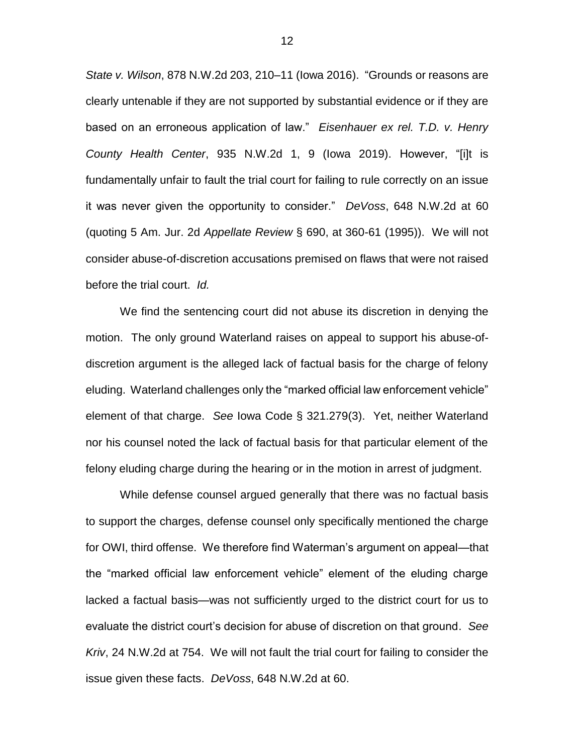*State v. Wilson*, 878 N.W.2d 203, 210–11 (Iowa 2016). "Grounds or reasons are clearly untenable if they are not supported by substantial evidence or if they are based on an erroneous application of law." *Eisenhauer ex rel. T.D. v. Henry County Health Center*, 935 N.W.2d 1, 9 (Iowa 2019). However, "[i]t is fundamentally unfair to fault the trial court for failing to rule correctly on an issue it was never given the opportunity to consider." *DeVoss*, 648 N.W.2d at 60 (quoting 5 Am. Jur. 2d *Appellate Review* § 690, at 360-61 (1995)). We will not consider abuse-of-discretion accusations premised on flaws that were not raised before the trial court. *Id.*

We find the sentencing court did not abuse its discretion in denying the motion. The only ground Waterland raises on appeal to support his abuse-ofdiscretion argument is the alleged lack of factual basis for the charge of felony eluding. Waterland challenges only the "marked official law enforcement vehicle" element of that charge. *See* Iowa Code § 321.279(3). Yet, neither Waterland nor his counsel noted the lack of factual basis for that particular element of the felony eluding charge during the hearing or in the motion in arrest of judgment.

While defense counsel argued generally that there was no factual basis to support the charges, defense counsel only specifically mentioned the charge for OWI, third offense. We therefore find Waterman's argument on appeal—that the "marked official law enforcement vehicle" element of the eluding charge lacked a factual basis—was not sufficiently urged to the district court for us to evaluate the district court's decision for abuse of discretion on that ground. *See Kriv*, 24 N.W.2d at 754. We will not fault the trial court for failing to consider the issue given these facts. *DeVoss*, 648 N.W.2d at 60.